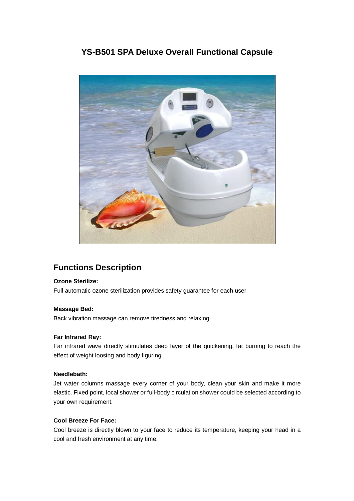## **YS-B501 SPA Deluxe Overall Functional Capsule**



# **Functions Description**

### **Ozone Sterilize:**

Full automatic ozone sterilization provides safety guarantee for each user

#### **Massage Bed:**

Back vibration massage can remove tiredness and relaxing.

#### **Far Infrared Ray:**

Far infrared wave directly stimulates deep layer of the quickening, fat burning to reach the effect of weight loosing and body figuring .

#### **Needlebath:**

Jet water columns massage every corner of your body, clean your skin and make it more elastic. Fixed point, local shower or full-body circulation shower could be selected according to your own requirement.

### **Cool Breeze For Face:**

Cool breeze is directly blown to your face to reduce its temperature, keeping your head in a cool and fresh environment at any time.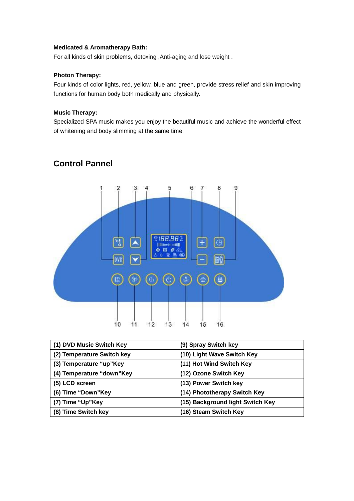#### **Medicated & Aromatherapy Bath:**

For all kinds of skin problems, detoxing ,Anti-aging and lose weight .

### **Photon Therapy:**

Four kinds of color lights, red, yellow, blue and green, provide stress relief and skin improving functions for human body both medically and physically.

#### **Music Therapy:**

Specialized SPA music makes you enjoy the beautiful music and achieve the wonderful effect of whitening and body slimming at the same time.



## **Control Pannel**

| (1) DVD Music Switch Key   | (9) Spray Switch key             |
|----------------------------|----------------------------------|
| (2) Temperature Switch key | (10) Light Wave Switch Key       |
| (3) Temperature "up"Key    | (11) Hot Wind Switch Key         |
| (4) Temperature "down"Key  | (12) Ozone Switch Key            |
| (5) LCD screen             | (13) Power Switch key            |
| (6) Time "Down"Key         | (14) Phototherapy Switch Key     |
| (7) Time "Up"Key           | (15) Background light Switch Key |
| (8) Time Switch key        | (16) Steam Switch Key            |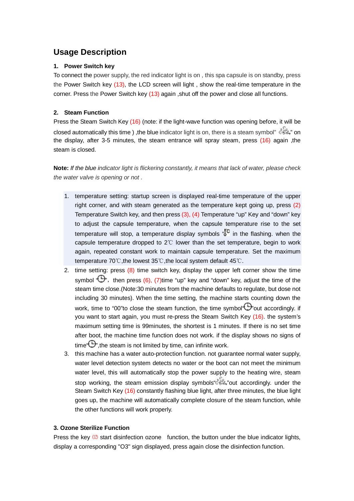## **Usage Description**

### **1. Power Switch key**

To connect the power supply, the red indicator light is on , this spa capsule is on standby, press the Power Switch key (13), the LCD screen will light , show the real-time temperature in the corner. Press the Power Switch key (13) again ,shut off the power and close all functions.

### **2. Steam Function**

Press the Steam Switch Key (16) (note: if the light-wave function was opening before, it will be closed automatically this time ), the blue indicator light is on, there is a steam symbol"  $\overset{\circ}{\mathbb{G}}$ . on the display, after 3-5 minutes, the steam entrance will spray steam, press (16) again ,the steam is closed.

**Note:** *If the blue indicator light is flickering constantly, it means that lack of water, please check the water valve is opening or not .*

- 1. temperature setting: startup screen is displayed real-time temperature of the upper right corner, and with steam generated as the temperature kept going up, press (2) Temperature Switch key, and then press (3), (4) Temperature "up" Key and "down" key to adjust the capsule temperature, when the capsule temperature rise to the set temperature will stop, a temperature display symbols " $\overline{S}^{\text{C}}$  in the flashing, when the capsule temperature dropped to 2℃ lower than the set temperature, begin to work again, repeated constant work to maintain capsule temperature. Set the maximum temperature 70℃,the lowest 35℃,the local system default 45℃.
- 2. time setting: press (8) time switch key, display the upper left corner show the time symbol  $\mathbb{Q}$ , then press (6), (7)time "up" key and "down" key, adjust the time of the steam time close.(Note:30 minutes from the machine defaults to regulate, but dose not including 30 minutes). When the time setting, the machine starts counting down the work, time to "00"to close the steam function, the time symbol  $\mathbb{C}$ "out accordingly. if you want to start again, you must re-press the Steam Switch Key (16). the system's maximum setting time is 99minutes, the shortest is 1 minutes. If there is no set time after boot, the machine time function does not work. if the display shows no signs of time  $\Theta$ , the steam is not limited by time, can infinite work.
- 3. this machine has a water auto-protection function. not guarantee normal water supply, water level detection system detects no water or the boot can not meet the minimum water level, this will automatically stop the power supply to the heating wire, steam stop working, the steam emission display symbols  $\mathbb{C}$ . "out accordingly, under the Steam Switch Key (16) constantly flashing blue light, after three minutes, the blue light goes up, the machine will automatically complete closure of the steam function, while the other functions will work properly.

### **3. Ozone Sterilize Function**

Press the key  $(12)$  start disinfection ozone function, the button under the blue indicator lights, display a corresponding "O3" sign displayed, press again close the disinfection function.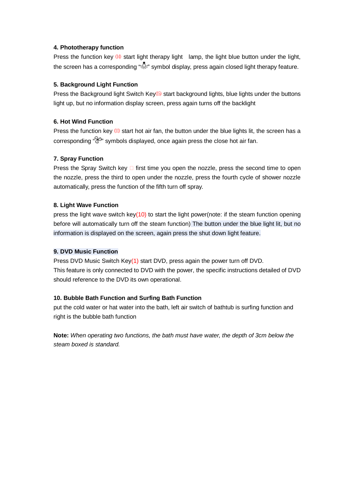#### **4. Phototherapy function**

Press the function key  $(14)$  start light therapy light lamp, the light blue button under the light, the screen has a corresponding "" symbol display, press again closed light therapy feature.

#### **5. Background Light Function**

Press the Background light Switch Key<sup>(15)</sup> start background lights, blue lights under the buttons light up, but no information display screen, press again turns off the backlight

#### **6. Hot Wind Function**

Press the function key  $(1)$  start hot air fan, the button under the blue lights lit, the screen has a corresponding " $\mathbb{R}^n$  symbols displayed, once again press the close hot air fan.

#### **7. Spray Function**

Press the Spray Switch key  $\Box$  first time you open the nozzle, press the second time to open the nozzle, press the third to open under the nozzle, press the fourth cycle of shower nozzle automatically, press the function of the fifth turn off spray.

#### **8. Light Wave Function**

press the light wave switch key( $10$ ) to start the light power(note: if the steam function opening before will automatically turn off the steam function) The button under the blue light lit, but no information is displayed on the screen, again press the shut down light feature.

#### **9. DVD Music Function**

Press DVD Music Switch Key(1) start DVD, press again the power turn off DVD. This feature is only connected to DVD with the power, the specific instructions detailed of DVD should reference to the DVD its own operational.

### **10. Bubble Bath Function and Surfing Bath Function**

put the cold water or hat water into the bath, left air switch of bathtub is surfing function and right is the bubble bath function

**Note:** *When operating two functions, the bath must have water, the depth of 3cm below the steam boxed is standard.*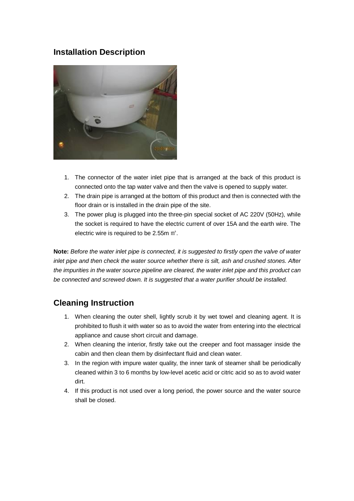## **Installation Description**



- 1. The connector of the water inlet pipe that is arranged at the back of this product is connected onto the tap water valve and then the valve is opened to supply water.
- 2. The drain pipe is arranged at the bottom of this product and then is connected with the floor drain or is installed in the drain pipe of the site.
- 3. The power plug is plugged into the three-pin special socket of AC 220V (50Hz), while the socket is required to have the electric current of over 15A and the earth wire. The electric wire is required to be 2.55m ㎡.

**Note:** *Before the water inlet pipe is connected, it is suggested to firstly open the valve of water inlet pipe and then check the water source whether there is silt, ash and crushed stones. After the impurities in the water source pipeline are cleared, the water inlet pipe and this product can be connected and screwed down. It is suggested that a water purifier should be installed.* 

## **Cleaning Instruction**

- 1. When cleaning the outer shell, lightly scrub it by wet towel and cleaning agent. It is prohibited to flush it with water so as to avoid the water from entering into the electrical appliance and cause short circuit and damage.
- 2. When cleaning the interior, firstly take out the creeper and foot massager inside the cabin and then clean them by disinfectant fluid and clean water.
- 3. In the region with impure water quality, the inner tank of steamer shall be periodically cleaned within 3 to 6 months by low-level acetic acid or citric acid so as to avoid water dirt.
- 4. If this product is not used over a long period, the power source and the water source shall be closed.